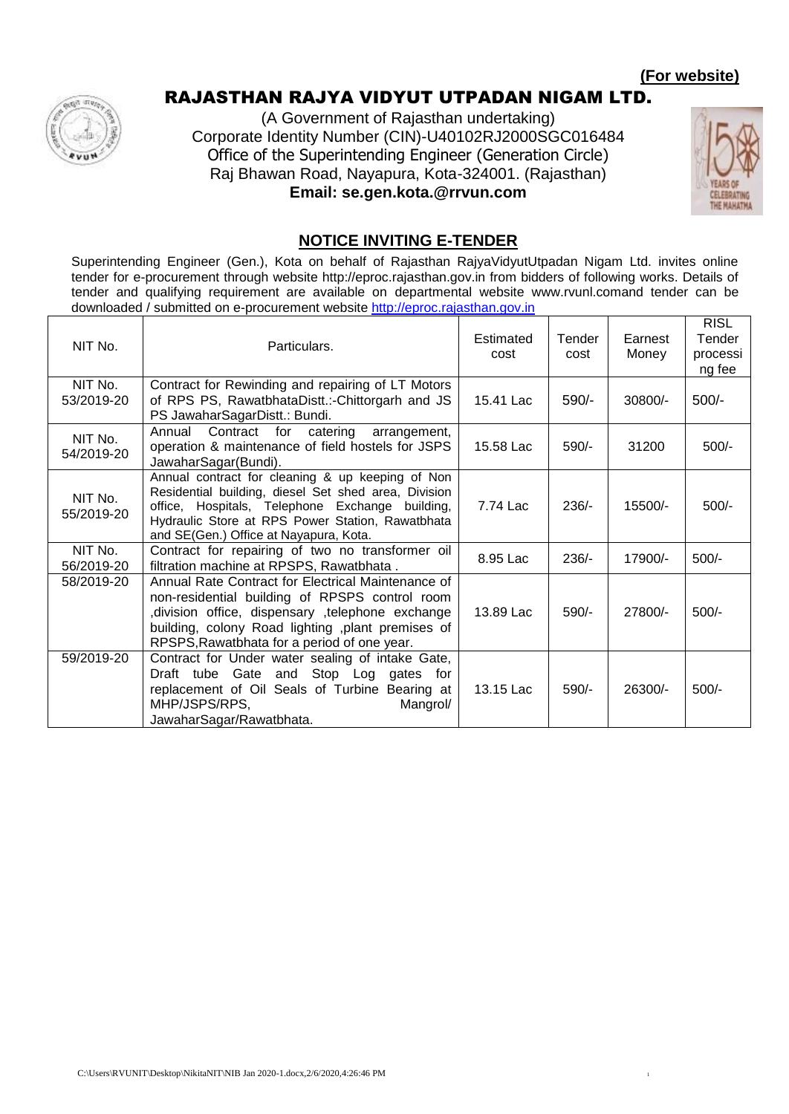

## RAJASTHAN RAJYA VIDYUT UTPADAN NIGAM LTD.

(A Government of Rajasthan undertaking) Corporate Identity Number (CIN)-U40102RJ2000SGC016484 Office of the Superintending Engineer (Generation Circle) Raj Bhawan Road, Nayapura, Kota-324001. (Rajasthan) **Email: se.gen.kota.@rrvun.com**



#### **NOTICE INVITING E-TENDER**

Superintending Engineer (Gen.), Kota on behalf of Rajasthan RajyaVidyutUtpadan Nigam Ltd. invites online tender for e-procurement through website http://eproc.rajasthan.gov.in from bidders of following works. Details of tender and qualifying requirement are available on departmental website www.rvunl.comand tender can be downloaded / submitted on e-procurement website [http://eproc.rajasthan.gov.in](http://eproc.rajasthan.gov.in/)

| NIT No.               | Particulars.                                                                                                                                                                                                                                                 | Estimated<br>cost | Tender<br>cost | Earnest<br>Money | <b>RISL</b><br>Tender<br>processi<br>ng fee |
|-----------------------|--------------------------------------------------------------------------------------------------------------------------------------------------------------------------------------------------------------------------------------------------------------|-------------------|----------------|------------------|---------------------------------------------|
| NIT No.<br>53/2019-20 | Contract for Rewinding and repairing of LT Motors<br>of RPS PS, RawatbhataDistt.:-Chittorgarh and JS<br>PS JawaharSagarDistt.: Bundi.                                                                                                                        | 15.41 Lac         | 590/-          | 30800/-          | $500/-$                                     |
| NIT No.<br>54/2019-20 | Contract for catering<br>Annual<br>arrangement,<br>operation & maintenance of field hostels for JSPS<br>JawaharSagar(Bundi).                                                                                                                                 | 15.58 Lac         | 590/-          | 31200            | $500/-$                                     |
| NIT No.<br>55/2019-20 | Annual contract for cleaning & up keeping of Non<br>Residential building, diesel Set shed area, Division<br>office, Hospitals, Telephone Exchange building,<br>Hydraulic Store at RPS Power Station, Rawatbhata<br>and SE(Gen.) Office at Nayapura, Kota.    | 7.74 Lac          | $236/-$        | 15500/-          | $500/-$                                     |
| NIT No.<br>56/2019-20 | Contract for repairing of two no transformer oil<br>filtration machine at RPSPS, Rawatbhata.                                                                                                                                                                 | 8.95 Lac          | $236/-$        | 17900/-          | $500/-$                                     |
| 58/2019-20            | Annual Rate Contract for Electrical Maintenance of<br>non-residential building of RPSPS control room<br>division office, dispensary ,telephone exchange<br>building, colony Road lighting , plant premises of<br>RPSPS, Rawatbhata for a period of one year. | 13.89 Lac         | 590/-          | 27800/-          | $500/-$                                     |
| 59/2019-20            | Contract for Under water sealing of intake Gate,<br>Draft tube Gate and Stop Log gates for<br>replacement of Oil Seals of Turbine Bearing at<br>MHP/JSPS/RPS,<br>Mangrol/<br>JawaharSagar/Rawatbhata.                                                        | 13.15 Lac         | 590/-          | 26300/-          | $500/-$                                     |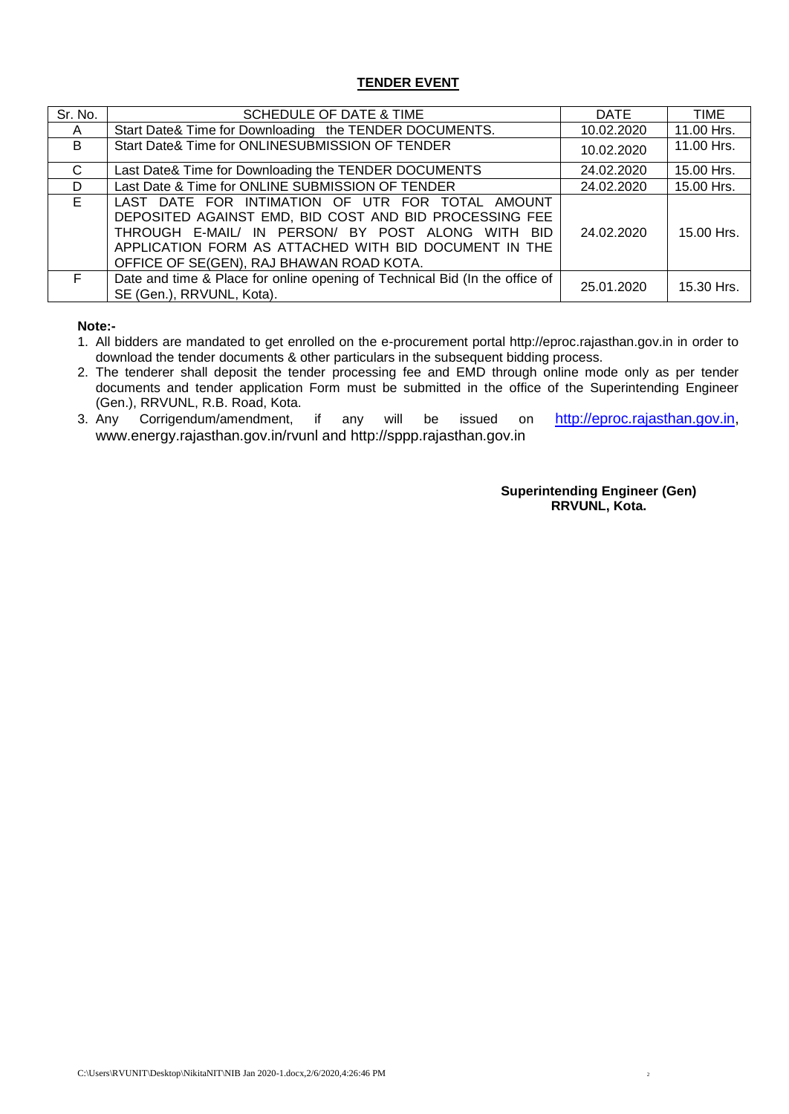#### **TENDER EVENT**

| Sr. No. | SCHEDULE OF DATE & TIME                                                                                                                                                                                                                                              | DATE       | <b>TIME</b> |
|---------|----------------------------------------------------------------------------------------------------------------------------------------------------------------------------------------------------------------------------------------------------------------------|------------|-------------|
| A       | Start Date& Time for Downloading the TENDER DOCUMENTS.                                                                                                                                                                                                               | 10.02.2020 | 11.00 Hrs.  |
| B       | Start Date& Time for ONLINESUBMISSION OF TENDER                                                                                                                                                                                                                      | 10.02.2020 | 11.00 Hrs.  |
| C       | Last Date& Time for Downloading the TENDER DOCUMENTS                                                                                                                                                                                                                 | 24.02.2020 | 15.00 Hrs.  |
| D       | Last Date & Time for ONLINE SUBMISSION OF TENDER                                                                                                                                                                                                                     | 24.02.2020 | 15.00 Hrs.  |
| E.      | LAST DATE FOR INTIMATION OF UTR FOR TOTAL AMOUNT<br>DEPOSITED AGAINST EMD, BID COST AND BID PROCESSING FEE<br>THROUGH E-MAIL/ IN PERSON/ BY POST ALONG WITH BID<br>APPLICATION FORM AS ATTACHED WITH BID DOCUMENT IN THE<br>OFFICE OF SE(GEN), RAJ BHAWAN ROAD KOTA. | 24.02.2020 | 15.00 Hrs.  |
| F       | Date and time & Place for online opening of Technical Bid (In the office of<br>SE (Gen.), RRVUNL, Kota).                                                                                                                                                             | 25.01.2020 | 15.30 Hrs.  |

**Note:-**

- 1. All bidders are mandated to get enrolled on the e-procurement portal http://eproc.rajasthan.gov.in in order to download the tender documents & other particulars in the subsequent bidding process.
- 2. The tenderer shall deposit the tender processing fee and EMD through online mode only as per tender documents and tender application Form must be submitted in the office of the Superintending Engineer (Gen.), RRVUNL, R.B. Road, Kota.
- 3. Any Corrigendum/amendment, if any will be issued on [http://eproc.rajasthan.gov.in,](http://eproc.rajasthan.gov.in/) www.energy.rajasthan.gov.in/rvunl and http://sppp.rajasthan.gov.in

**Superintending Engineer (Gen) RRVUNL, Kota.**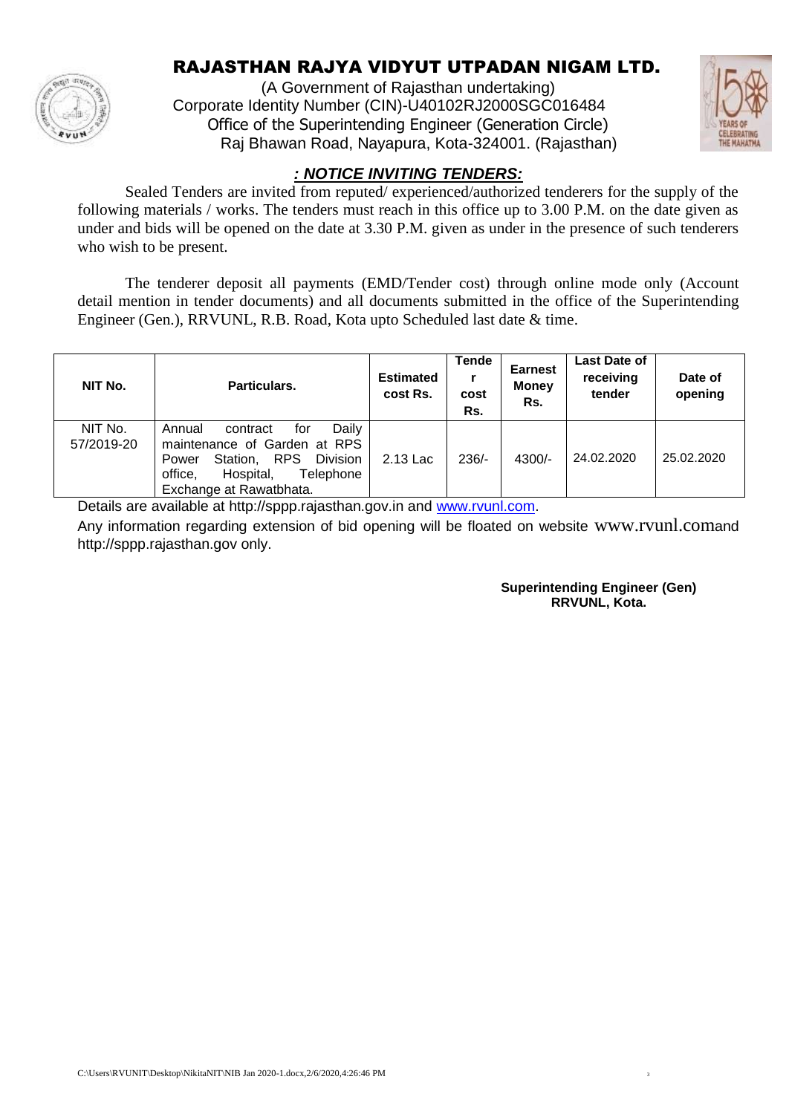

# RAJASTHAN RAJYA VIDYUT UTPADAN NIGAM LTD.

(A Government of Rajasthan undertaking) Corporate Identity Number (CIN)-U40102RJ2000SGC016484 Office of the Superintending Engineer (Generation Circle) Raj Bhawan Road, Nayapura, Kota-324001. (Rajasthan)



## *: NOTICE INVITING TENDERS:*

Sealed Tenders are invited from reputed/ experienced/authorized tenderers for the supply of the following materials / works. The tenders must reach in this office up to 3.00 P.M. on the date given as under and bids will be opened on the date at 3.30 P.M. given as under in the presence of such tenderers who wish to be present.

The tenderer deposit all payments (EMD/Tender cost) through online mode only (Account detail mention in tender documents) and all documents submitted in the office of the Superintending Engineer (Gen.), RRVUNL, R.B. Road, Kota upto Scheduled last date & time.

| NIT No.               | Particulars.                                                                                                                                                                   | <b>Estimated</b><br>cost Rs. | Tende<br>cost<br>Rs. | <b>Earnest</b><br><b>Money</b><br>Rs. | <b>Last Date of</b><br>receiving<br>tender | Date of<br>opening |
|-----------------------|--------------------------------------------------------------------------------------------------------------------------------------------------------------------------------|------------------------------|----------------------|---------------------------------------|--------------------------------------------|--------------------|
| NIT No.<br>57/2019-20 | Daily<br>for<br>Annual<br>contract<br>maintenance of Garden at RPS<br>Station, RPS<br>Division<br>Power<br>office,<br>Hospital,<br><b>Telephone</b><br>Exchange at Rawatbhata. | 2.13 Lac                     | $236/-$              | $4300/-$                              | 24.02.2020                                 | 25.02.2020         |

Details are available at http://sppp.rajasthan.gov.in and [www.rvunl.com.](http://www.rvunl.com/)

Any information regarding extension of bid opening will be floated on website www.rvunl.comand http://sppp.rajasthan.gov only.

> **Superintending Engineer (Gen) RRVUNL, Kota.**